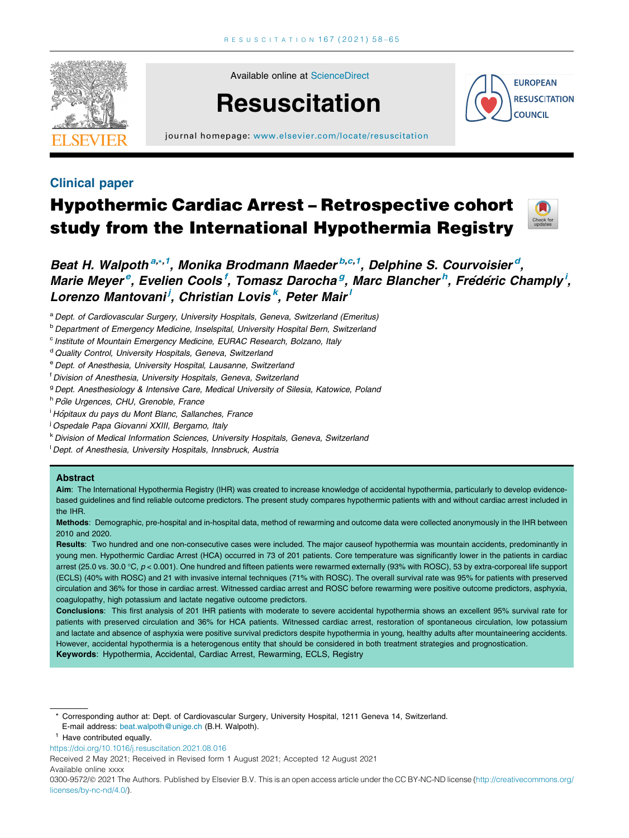

Available online at [ScienceDirect](http://www.sciencedirect.com/science/journal/03009572)

# **Resuscitation**



journal homepage: [www.elsevier.com/locate/resuscitation](http://www.elsevier.com/locate/resuscitation)

### Clinical paper

## Hypothermic Cardiac Arrest – Retrospective cohort study from the International Hypothermia Registry



Beat H. Walpoth<sup>a,,,1</sup>, Monika Brodmann Maeder<sup>b,c,1</sup>, Delphine S. Courvoisier<sup>d</sup>, Marie Meyer<sup>e</sup>, Evelien Cools<sup>f</sup>, Tomasz Darocha<sup>g</sup>, Marc Blancher<sup>h</sup>, Frédéric Champly<sup>i</sup>, Lorenzo Mantovani<sup>j</sup>, Christian Lovis<sup>k</sup>, Peter Mair<sup>i</sup>

- a Dept. of Cardiovascular Surgery, University Hospitals, Geneva, Switzerland (Emeritus)
- **b Department of Emergency Medicine, Inselspital, University Hospital Bern, Switzerland**
- <sup>c</sup> Institute of Mountain Emergency Medicine, EURAC Research, Bolzano, Italy
- <sup>d</sup> Quality Control, University Hospitals, Geneva, Switzerland
- <sup>e</sup> Dept. of Anesthesia, University Hospital, Lausanne, Switzerland
- <sup>f</sup> Division of Anesthesia, University Hospitals, Geneva, Switzerland
- <sup>g</sup> Dept. Anesthesiology & Intensive Care, Medical University of Silesia, Katowice, Poland
- h Pôle Urgences, CHU, Grenoble, France
- <sup>i</sup> Hôpitaux du pays du Mont Blanc, Sallanches, France
- <sup>i</sup> Ospedale Papa Giovanni XXIII, Bergamo, Italy
- <sup>k</sup> Division of Medical Information Sciences, University Hospitals, Geneva, Switzerland
- <sup>I</sup> Dept. of Anesthesia, University Hospitals, Innsbruck, Austria

#### Abstract

Aim: The International Hypothermia Registry (IHR) was created to increase knowledge of accidental hypothermia, particularly to develop evidencebased guidelines and find reliable outcome predictors. The present study compares hypothermic patients with and without cardiac arrest included in the IHR.

Methods: Demographic, pre-hospital and in-hospital data, method of rewarming and outcome data were collected anonymously in the IHR between 2010 and 2020.

Results: Two hundred and one non-consecutive cases were included. The major causeof hypothermia was mountain accidents, predominantly in young men. Hypothermic Cardiac Arrest (HCA) occurred in 73 of 201 patients. Core temperature was significantly lower in the patients in cardiac arrest (25.0 vs. 30.0 °C,  $p < 0.001$ ). One hundred and fifteen patients were rewarmed externally (93% with ROSC), 53 by extra-corporeal life support (ECLS) (40% with ROSC) and 21 with invasive internal techniques (71% with ROSC). The overall survival rate was 95% for patients with preserved circulation and 36% for those in cardiac arrest. Witnessed cardiac arrest and ROSC before rewarming were positive outcome predictors, asphyxia, coagulopathy, high potassium and lactate negative outcome predictors.

Conclusions: This first analysis of 201 IHR patients with moderate to severe accidental hypothermia shows an excellent 95% survival rate for patients with preserved circulation and 36% for HCA patients. Witnessed cardiac arrest, restoration of spontaneous circulation, low potassium and lactate and absence of asphyxia were positive survival predictors despite hypothermia in young, healthy adults after mountaineering accidents. However, accidental hypothermia is a heterogenous entity that should be considered in both treatment strategies and prognostication. Keywords: Hypothermia, Accidental, Cardiac Arrest, Rewarming, ECLS, Registry

\* Corresponding author at: Dept. of Cardiovascular Surgery, University Hospital, 1211 Geneva 14, Switzerland. E-mail address: [beat.walpoth@unige.ch](mailto:beat.walpoth@unige.ch) (B.H. Walpoth).

Received 2 May 2021; Received in Revised form 1 August 2021; Accepted 12 August 2021

Available online xxxx

Have contributed equally.

<https://doi.org/10.1016/j.resuscitation.2021.08.016>

<sup>0300-9572/@ 2021</sup> The Authors. Published by Elsevier B.V. This is an open access article under the CC BY-NC-ND license ([http://creativecommons.org/](http://creativecommons.org/licenses/by-nc-nd/4.0/) [licenses/by-nc-nd/4.0/](http://creativecommons.org/licenses/by-nc-nd/4.0/)).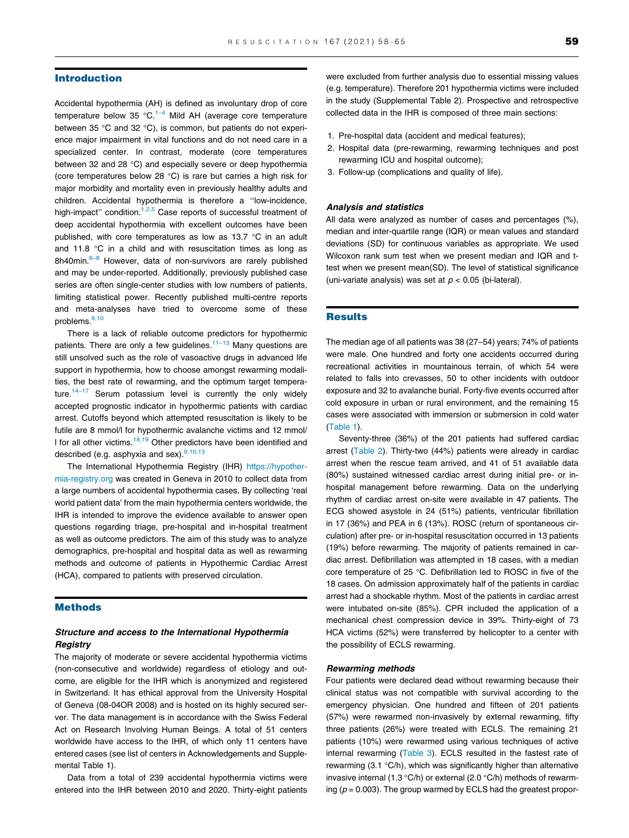#### Introduction

Accidental hypothermia (AH) is defined as involuntary drop of core temperature below 35  $^{\circ}$ C.<sup>[1–4](#page-6-0)</sup> Mild AH (average core temperature between 35 °C and 32 °C), is common, but patients do not experience major impairment in vital functions and do not need care in a specialized center. In contrast, moderate (core temperatures between 32 and 28  $^{\circ}$ C) and especially severe or deep hypothermia (core temperatures below 28  $^{\circ}$ C) is rare but carries a high risk for major morbidity and mortality even in previously healthy adults and children. Accidental hypothermia is therefore a "low-incidence, high-impact" condition.<sup>[1,2,5](#page-6-0)</sup> Case reports of successful treatment of deep accidental hypothermia with excellent outcomes have been published, with core temperatures as low as  $13.7 \degree C$  in an adult and 11.8  $\degree$ C in a child and with resuscitation times as long as 8h40min.<sup>6–8</sup> However, data of non-survivors are rarely published and may be under-reported. Additionally, previously published case series are often single-center studies with low numbers of patients, limiting statistical power. Recently published multi-centre reports and meta-analyses have tried to overcome some of these problems.<sup>[9,10](#page-7-0)</sup>

There is a lack of reliable outcome predictors for hypothermic patients. There are only a few guidelines. $11-13$  Many questions are still unsolved such as the role of vasoactive drugs in advanced life support in hypothermia, how to choose amongst rewarming modalities, the best rate of rewarming, and the optimum target tempera-ture.<sup>[14–17](#page-7-0)</sup> Serum potassium level is currently the only widely accepted prognostic indicator in hypothermic patients with cardiac arrest. Cutoffs beyond which attempted resuscitation is likely to be futile are 8 mmol/l for hypothermic avalanche victims and 12 mmol/ I for all other victims.<sup>18,19</sup> Other predictors have been identified and described (e.g. asphyxia and sex).<sup>9,10,13</sup>

The International Hypothermia Registry (IHR) [https://hypother](https://hypothermia-registry.org)[mia-registry.org](https://hypothermia-registry.org) was created in Geneva in 2010 to collect data from a large numbers of accidental hypothermia cases. By collecting 'real world patient data' from the main hypothermia centers worldwide, the IHR is intended to improve the evidence available to answer open questions regarding triage, pre-hospital and in-hospital treatment as well as outcome predictors. The aim of this study was to analyze demographics, pre-hospital and hospital data as well as rewarming methods and outcome of patients in Hypothermic Cardiac Arrest (HCA), compared to patients with preserved circulation.

#### Methods

#### Structure and access to the International Hypothermia Registry

The majority of moderate or severe accidental hypothermia victims (non-consecutive and worldwide) regardless of etiology and outcome, are eligible for the IHR which is anonymized and registered in Switzerland. It has ethical approval from the University Hospital of Geneva (08-04OR 2008) and is hosted on its highly secured server. The data management is in accordance with the Swiss Federal Act on Research Involving Human Beings. A total of 51 centers worldwide have access to the IHR, of which only 11 centers have entered cases (see list of centers in Acknowledgements and Supplemental Table 1).

Data from a total of 239 accidental hypothermia victims were entered into the IHR between 2010 and 2020. Thirty-eight patients were excluded from further analysis due to essential missing values (e.g. temperature). Therefore 201 hypothermia victims were included in the study (Supplemental Table 2). Prospective and retrospective collected data in the IHR is composed of three main sections:

- 1. Pre-hospital data (accident and medical features);
- 2. Hospital data (pre-rewarming, rewarming techniques and post rewarming ICU and hospital outcome);
- 3. Follow-up (complications and quality of life).

#### Analysis and statistics

All data were analyzed as number of cases and percentages (%), median and inter-quartile range (IQR) or mean values and standard deviations (SD) for continuous variables as appropriate. We used Wilcoxon rank sum test when we present median and IQR and ttest when we present mean(SD). The level of statistical significance (uni-variate analysis) was set at  $p < 0.05$  (bi-lateral).

#### **Results**

The median age of all patients was 38 (27–54) years; 74% of patients were male. One hundred and forty one accidents occurred during recreational activities in mountainous terrain, of which 54 were related to falls into crevasses, 50 to other incidents with outdoor exposure and 32 to avalanche burial. Forty-five events occurred after cold exposure in urban or rural environment, and the remaining 15 cases were associated with immersion or submersion in cold water ([Table 1](#page-2-0)).

Seventy-three (36%) of the 201 patients had suffered cardiac arrest [\(Table 2](#page-2-0)). Thirty-two (44%) patients were already in cardiac arrest when the rescue team arrived, and 41 of 51 available data (80%) sustained witnessed cardiac arrest during initial pre- or inhospital management before rewarming. Data on the underlying rhythm of cardiac arrest on-site were available in 47 patients. The ECG showed asystole in 24 (51%) patients, ventricular fibrillation in 17 (36%) and PEA in 6 (13%). ROSC (return of spontaneous circulation) after pre- or in-hospital resuscitation occurred in 13 patients (19%) before rewarming. The majority of patients remained in cardiac arrest. Defibrillation was attempted in 18 cases, with a median core temperature of 25 °C. Defibrillation led to ROSC in five of the 18 cases. On admission approximately half of the patients in cardiac arrest had a shockable rhythm. Most of the patients in cardiac arrest were intubated on-site (85%). CPR included the application of a mechanical chest compression device in 39%. Thirty-eight of 73 HCA victims (52%) were transferred by helicopter to a center with the possibility of ECLS rewarming.

#### Rewarming methods

Four patients were declared dead without rewarming because their clinical status was not compatible with survival according to the emergency physician. One hundred and fifteen of 201 patients (57%) were rewarmed non-invasively by external rewarming, fifty three patients (26%) were treated with ECLS. The remaining 21 patients (10%) were rewarmed using various techniques of active internal rewarming [\(Table 3](#page-3-0)). ECLS resulted in the fastest rate of rewarming  $(3.1 \text{ °C/h})$ , which was significantly higher than alternative invasive internal (1.3 °C/h) or external (2.0 °C/h) methods of rewarming ( $p = 0.003$ ). The group warmed by ECLS had the greatest propor-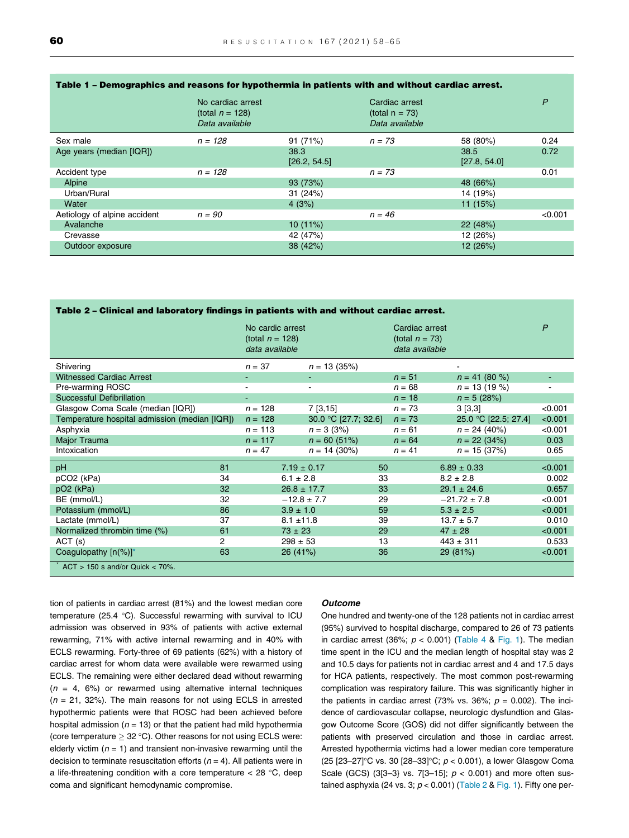|                              | No cardiac arrest<br>(total $n = 128$ )<br>Data available |                      | Cardiac arrest<br>(total $n = 73$ )<br>Data available |                      | P       |
|------------------------------|-----------------------------------------------------------|----------------------|-------------------------------------------------------|----------------------|---------|
| Sex male                     | $n = 128$                                                 | 91 (71%)             | $n = 73$                                              | 58 (80%)             | 0.24    |
| Age years (median [IQR])     |                                                           | 38.3<br>[26.2, 54.5] |                                                       | 38.5<br>[27.8, 54.0] | 0.72    |
| Accident type                | $n = 128$                                                 |                      | $n = 73$                                              |                      | 0.01    |
| Alpine                       |                                                           | 93 (73%)             |                                                       | 48 (66%)             |         |
| Urban/Rural                  |                                                           | 31(24%)              |                                                       | 14 (19%)             |         |
| Water                        |                                                           | 4(3%)                |                                                       | 11(15%)              |         |
| Aetiology of alpine accident | $n = 90$                                                  |                      | $n = 46$                                              |                      | < 0.001 |
| Avalanche                    |                                                           | $10(11\%)$           |                                                       | 22(48%)              |         |
| Crevasse                     |                                                           | 42 (47%)             |                                                       | 12 (26%)             |         |
| Outdoor exposure             |                                                           | 38 (42%)             |                                                       | 12 (26%)             |         |

#### <span id="page-2-0"></span>Table 1 – Demographics and reasons for hypothermia in patients with and without cardiac arrest.

| Table 2 – Clinical and laboratory findings in patients with and without cardiac arrest. |                                                          |                      |    |                                                       |                      |              |
|-----------------------------------------------------------------------------------------|----------------------------------------------------------|----------------------|----|-------------------------------------------------------|----------------------|--------------|
|                                                                                         | No cardic arrest<br>(total $n = 128$ )<br>data available |                      |    | Cardiac arrest<br>(total $n = 73$ )<br>data available |                      | $\mathsf{P}$ |
| Shiverina                                                                               | $n = 37$                                                 | $n = 13(35%)$        |    |                                                       |                      |              |
| <b>Witnessed Cardiac Arrest</b>                                                         |                                                          |                      |    | $n = 51$                                              | $n = 41 (80 %)$      |              |
| Pre-warming ROSC                                                                        |                                                          |                      |    | $n = 68$                                              | $n = 13(19%)$        |              |
| <b>Successful Defibrillation</b>                                                        |                                                          |                      |    | $n = 18$                                              | $n = 5 (28%)$        |              |
| Glasgow Coma Scale (median [IQR])                                                       | $n = 128$                                                | $7$ [3,15]           |    | $n = 73$                                              | 3[3,3]               | < 0.001      |
| Temperature hospital admission (median [IQR])                                           | $n = 128$                                                | 30.0 °C [27.7; 32.6] |    | $n = 73$                                              | 25.0 °C [22.5; 27.4] | < 0.001      |
| Asphyxia                                                                                | $n = 113$                                                | $n = 3(3%)$          |    | $n = 61$                                              | $n = 24$ (40%)       | < 0.001      |
| Major Trauma                                                                            | $n = 117$                                                | $n = 60 (51%)$       |    | $n = 64$                                              | $n = 22$ (34%)       | 0.03         |
| Intoxication                                                                            | $n = 47$                                                 | $n = 14$ (30%)       |    | $n = 41$                                              | $n = 15$ (37%)       | 0.65         |
| pH<br>81                                                                                |                                                          | $7.19 \pm 0.17$      | 50 |                                                       | $6.89 \pm 0.33$      | < 0.001      |
| pCO <sub>2</sub> (kPa)<br>34                                                            |                                                          | $6.1 \pm 2.8$        | 33 |                                                       | $8.2 \pm 2.8$        | 0.002        |
| pO <sub>2</sub> (kPa)<br>32                                                             |                                                          | $26.8 \pm 17.7$      | 33 |                                                       | $29.1 \pm 24.6$      | 0.657        |
| 32<br>BE (mmol/L)                                                                       |                                                          | $-12.8 \pm 7.7$      | 29 |                                                       | $-21.72 \pm 7.8$     | < 0.001      |
| 86<br>Potassium (mmol/L)                                                                |                                                          | $3.9 \pm 1.0$        | 59 |                                                       | $5.3 \pm 2.5$        | < 0.001      |
| 37<br>Lactate (mmol/L)                                                                  |                                                          | $8.1 \pm 11.8$       | 39 |                                                       | $13.7 \pm 5.7$       | 0.010        |
| 61<br>Normalized thrombin time (%)                                                      |                                                          | $73 \pm 23$          | 29 |                                                       | $47 \pm 28$          | < 0.001      |
| $\overline{c}$<br>ACT(s)                                                                |                                                          | $298 \pm 53$         | 13 |                                                       | $443 \pm 311$        | 0.533        |
| Coagulopathy [n(%)]*<br>63                                                              |                                                          | 26 (41%)             | 36 |                                                       | 29 (81%)             | < 0.001      |
| $ACT > 150$ s and/or Quick $< 70\%$ .                                                   |                                                          |                      |    |                                                       |                      |              |

tion of patients in cardiac arrest (81%) and the lowest median core temperature (25.4  $^{\circ}$ C). Successful rewarming with survival to ICU admission was observed in 93% of patients with active external rewarming, 71% with active internal rewarming and in 40% with ECLS rewarming. Forty-three of 69 patients (62%) with a history of cardiac arrest for whom data were available were rewarmed using ECLS. The remaining were either declared dead without rewarming  $(n = 4, 6%)$  or rewarmed using alternative internal techniques  $(n = 21, 32%)$ . The main reasons for not using ECLS in arrested hypothermic patients were that ROSC had been achieved before hospital admission ( $n = 13$ ) or that the patient had mild hypothermia (core temperature  $\geq$  32 °C). Other reasons for not using ECLS were: elderly victim ( $n = 1$ ) and transient non-invasive rewarming until the decision to terminate resuscitation efforts ( $n = 4$ ). All patients were in a life-threatening condition with a core temperature  $<$  28 °C, deep coma and significant hemodynamic compromise.

#### **Outcome**

One hundred and twenty-one of the 128 patients not in cardiac arrest (95%) survived to hospital discharge, compared to 26 of 73 patients in cardiac arrest (36%;  $p < 0.001$ ) [\(Table 4](#page-4-0) & [Fig. 1\)](#page-4-0). The median time spent in the ICU and the median length of hospital stay was 2 and 10.5 days for patients not in cardiac arrest and 4 and 17.5 days for HCA patients, respectively. The most common post-rewarming complication was respiratory failure. This was significantly higher in the patients in cardiac arrest (73% vs. 36%;  $p = 0.002$ ). The incidence of cardiovascular collapse, neurologic dysfundtion and Glasgow Outcome Score (GOS) did not differ significantly between the patients with preserved circulation and those in cardiac arrest. Arrested hypothermia victims had a lower median core temperature (25 [23-27]°C vs. 30 [28-33]°C;  $p < 0.001$ ), a lower Glasgow Coma Scale (GCS) (3[3-3] vs. 7[3-15];  $p < 0.001$ ) and more often sustained asphyxia (24 vs. 3;  $p < 0.001$ ) (Table 2 & [Fig. 1](#page-4-0)). Fifty one per-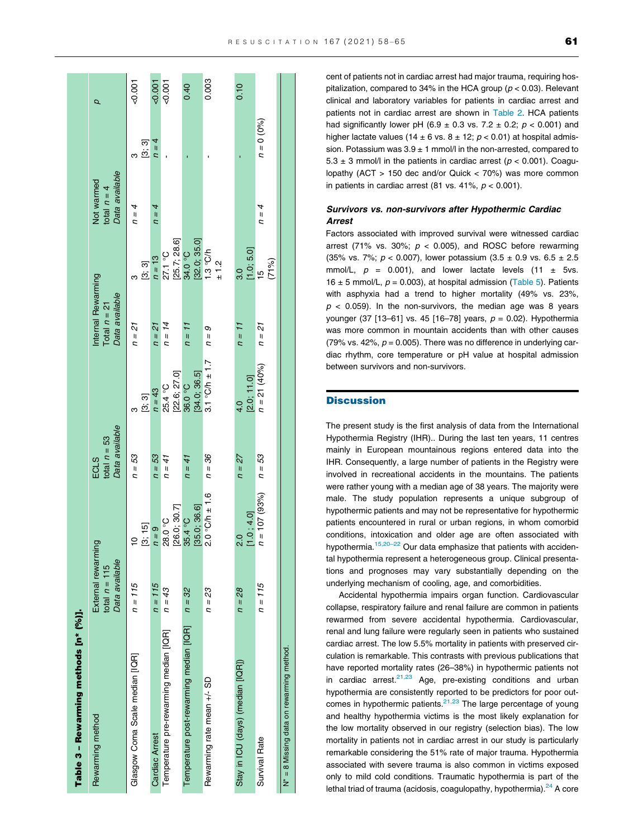<span id="page-3-0"></span>

| Table 3 - Rewarming methods [n* (%)].    |                                                         |                         |                                                 |                               |                                                        |                                                     |                                               |              |          |
|------------------------------------------|---------------------------------------------------------|-------------------------|-------------------------------------------------|-------------------------------|--------------------------------------------------------|-----------------------------------------------------|-----------------------------------------------|--------------|----------|
| Rewarming method                         | External rewarming<br>Data available<br>total $n = 115$ |                         | Data available<br>total $n = 53$<br><b>ECLS</b> |                               | Internal Rewarming<br>Data available<br>Total $n = 21$ |                                                     | Data available<br>Not warmed<br>total $n = 4$ |              |          |
| Glasgow Coma Scale median [IQR]          | $n = 115$                                               | [3; 15]                 | n = 53                                          | [3, 3]                        | $n = 21$                                               | ្រះ 3]                                              | $n = 4$                                       | ្រះ 3]<br>ო  | $-0.001$ |
| <b>Cardiac Arrest</b>                    | $n = 115$                                               | $n = 9$                 | $n = 53$                                        | $n = 43$                      | $n = 21$                                               | $n = 13$                                            | $n = 4$                                       | $n = 4$      | $-0.001$ |
| Temperature pre-rewarming median [IQR]   | $n = 43$                                                | [26.0; 30.7]<br>28.0 °C | $n = 41$                                        | [22.6; 27.0]<br>25.4 °C       | $n = 14$                                               | [25.7; 28.6]<br>27.1 °C                             |                                               |              | $-0.001$ |
| I emperature post-rewarming median [IQR] | $n = 32$                                                | [35.0; 36.6]<br>35.4 °C | $n = 41$                                        | 34.0; 36.5]<br>36.0°C         | $n = 1$                                                | [32.0; 35.0]<br>34.0 °C                             |                                               |              | 0.40     |
| Rewarming rate mean +/- SD               | n = 23                                                  | $2.0$ °C/h $\pm$ 1.6    | $n = 36$                                        | $3.1$ °C/h $\pm$ 1.7          | $n = 9$                                                | 1.3 °C/h<br>$\frac{2}{1}$                           |                                               |              | 0.003    |
| Stay in ICU (days) (median [IQR])        | $n = 28$                                                | [1.0, 4.0]<br>o.<br>N   | $n = 27$                                        | [2.0; 11.0]<br>$\frac{4}{10}$ | $n = 11$                                               | $\begin{bmatrix} 1.0; 5.0 \ 15 \end{bmatrix}$<br>30 |                                               |              | 0.10     |
| <b>Survival Rate</b>                     | $n = 115$                                               | $n = 107 (93%)$         | $n = 53$                                        | $n = 21$ (40%)                | $n = 21$                                               | (9/17)                                              | $n = 4$                                       | $n = 0$ (0%) |          |

cent of patients not in cardiac arrest had major trauma, requiring hospitalization, compared to 34% in the HCA group ( $p < 0.03$ ). Relevant clinical and laboratory variables for patients in cardiac arrest and patients not in cardiac arrest are shown in [Table 2.](#page-2-0) HCA patients had significantly lower pH (6.9  $\pm$  0.3 vs. 7.2  $\pm$  0.2;  $p$  < 0.001) and higher lactate values (14  $\pm$  6 vs. 8  $\pm$  12;  $p$  < 0.01) at hospital admission. Potassium was  $3.9 \pm 1$  mmol/l in the non-arrested, compared to  $5.3 \pm 3$  mmol/l in the patients in cardiac arrest ( $p < 0.001$ ). Coagulopathy (ACT > 150 dec and/or Quick < 70%) was more common in patients in cardiac arrest (81 vs. 41%,  $p < 0.001$ ).

#### Survivors vs. non-survivors after Hypothermic Cardiac Arrest

Factors associated with improved survival were witnessed cardiac arrest (71% vs. 30%;  $p < 0.005$ ), and ROSC before rewarming (35% vs. 7%;  $p < 0.007$ ), lower potassium (3.5 ± 0.9 vs. 6.5 ± 2.5) mmol/L,  $p = 0.001$ , and lower lactate levels (11  $\pm$  5vs. 16  $\pm$  5 mmol/L,  $p = 0.003$ ), at hospital admission [\(Table 5](#page-5-0)). Patients with asphyxia had a trend to higher mortality (49% vs. 23%,  $p$  < 0.059). In the non-survivors, the median age was 8 years younger (37 [13–61] vs. 45 [16–78] years,  $p = 0.02$ ). Hypothermia was more common in mountain accidents than with other causes (79% vs. 42%,  $p = 0.005$ ). There was no difference in underlying cardiac rhythm, core temperature or pH value at hospital admission between survivors and non-survivors.

#### **Discussion**

N\* = 8 Missing data on rewarming method.

 $\frac{8}{1}$  $\mathbf{\dot{z}}$ 

Missing data on rewarming method

The present study is the first analysis of data from the International Hypothermia Registry (IHR).. During the last ten years, 11 centres mainly in European mountainous regions entered data into the IHR. Consequently, a large number of patients in the Registry were involved in recreational accidents in the mountains. The patients were rather young with a median age of 38 years. The majority were male. The study population represents a unique subgroup of hypothermic patients and may not be representative for hypothermic patients encountered in rural or urban regions, in whom comorbid conditions, intoxication and older age are often associated with hypothermia.<sup>[15,20–22](#page-7-0)</sup> Our data emphasize that patients with accidental hypothermia represent a heterogeneous group. Clinical presentations and prognoses may vary substantially depending on the underlying mechanism of cooling, age, and comorbidities.

Accidental hypothermia impairs organ function. Cardiovascular collapse, respiratory failure and renal failure are common in patients rewarmed from severe accidental hypothermia. Cardiovascular, renal and lung failure were regularly seen in patients who sustained cardiac arrest. The low 5.5% mortality in patients with preserved circulation is remarkable. This contrasts with previous publications that have reported mortality rates (26–38%) in hypothermic patients not in cardiac arrest. $21,23$  Age, pre-existing conditions and urban hypothermia are consistently reported to be predictors for poor outcomes in hypothermic patients. $21,23$  The large percentage of young and healthy hypothermia victims is the most likely explanation for the low mortality observed in our registry (selection bias). The low mortality in patients not in cardiac arrest in our study is particularly remarkable considering the 51% rate of major trauma. Hypothermia associated with severe trauma is also common in victims exposed only to mild cold conditions. Traumatic hypothermia is part of the lethal triad of trauma (acidosis, coagulopathy, hypothermia). $24$  A core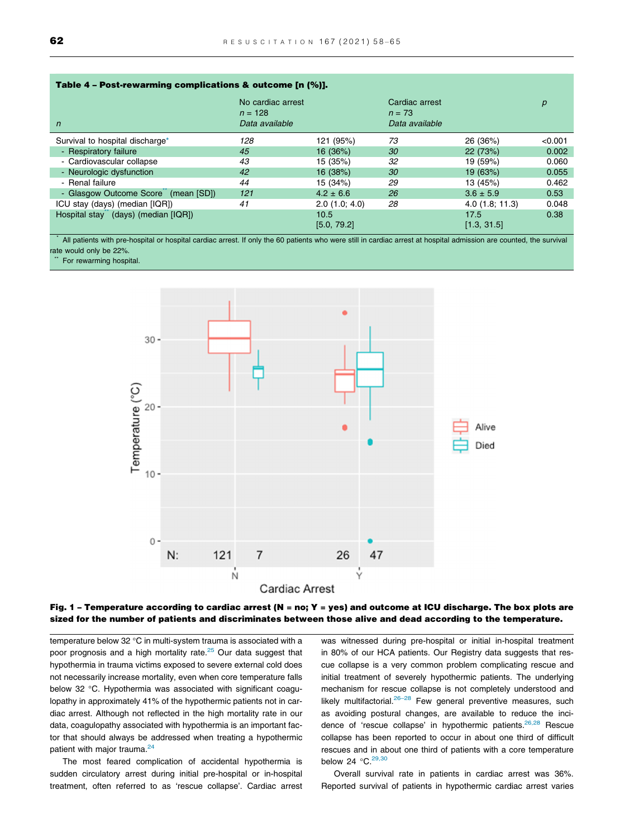<span id="page-4-0"></span>

| Table 4 - Post-rewarming complications & outcome [n (%)]. |                                                  |                     |                                              |                     |         |
|-----------------------------------------------------------|--------------------------------------------------|---------------------|----------------------------------------------|---------------------|---------|
| $\mathsf{n}$                                              | No cardiac arrest<br>$n = 128$<br>Data available |                     | Cardiac arrest<br>$n = 73$<br>Data available |                     | р       |
| Survival to hospital discharge*                           | 128                                              | 121 (95%)           | 73                                           | 26 (36%)            | < 0.001 |
| - Respiratory failure                                     | 45                                               | 16 (36%)            | 30                                           | 22(73%)             | 0.002   |
| - Cardiovascular collapse                                 | 43                                               | 15 (35%)            | 32                                           | 19 (59%)            | 0.060   |
| - Neurologic dysfunction                                  | 42                                               | 16 (38%)            | 30                                           | 19 (63%)            | 0.055   |
| - Renal failure                                           | 44                                               | 15 (34%)            | 29                                           | 13 (45%)            | 0.462   |
| - Glasgow Outcome Score (mean [SD])                       | 121                                              | $4.2 \pm 6.6$       | 26                                           | $3.6 \pm 5.9$       | 0.53    |
| ICU stay (days) (median [IQR])                            | 41                                               | 2.0(1.0; 4.0)       | 28                                           | $4.0$ (1.8; 11.3)   | 0.048   |
| Hospital stay" (days) (median [IQR])                      |                                                  | 10.5<br>[5.0, 79.2] |                                              | 17.5<br>[1.3, 31.5] | 0.38    |

All patients with pre-hospital or hospital cardiac arrest. If only the 60 patients who were still in cardiac arrest at hospital admission are counted, the survival rate would only be 22%.

For rewarming hospital.





temperature below  $32 °C$  in multi-system trauma is associated with a poor prognosis and a high mortality rate. $25$  Our data suggest that hypothermia in trauma victims exposed to severe external cold does not necessarily increase mortality, even when core temperature falls below 32 °C. Hypothermia was associated with significant coagulopathy in approximately 41% of the hypothermic patients not in cardiac arrest. Although not reflected in the high mortality rate in our data, coagulopathy associated with hypothermia is an important factor that should always be addressed when treating a hypothermic patient with major trauma.<sup>[24](#page-7-0)</sup>

The most feared complication of accidental hypothermia is sudden circulatory arrest during initial pre-hospital or in-hospital treatment, often referred to as 'rescue collapse'. Cardiac arrest was witnessed during pre-hospital or initial in-hospital treatment in 80% of our HCA patients. Our Registry data suggests that rescue collapse is a very common problem complicating rescue and initial treatment of severely hypothermic patients. The underlying mechanism for rescue collapse is not completely understood and likely multifactorial. $26-28$  Few general preventive measures, such as avoiding postural changes, are available to reduce the inci-dence of 'rescue collapse' in hypothermic patients.<sup>[26,28](#page-7-0)</sup> Rescue collapse has been reported to occur in about one third of difficult rescues and in about one third of patients with a core temperature below 24  $^{\circ}$ C.<sup>29,30</sup>

Overall survival rate in patients in cardiac arrest was 36%. Reported survival of patients in hypothermic cardiac arrest varies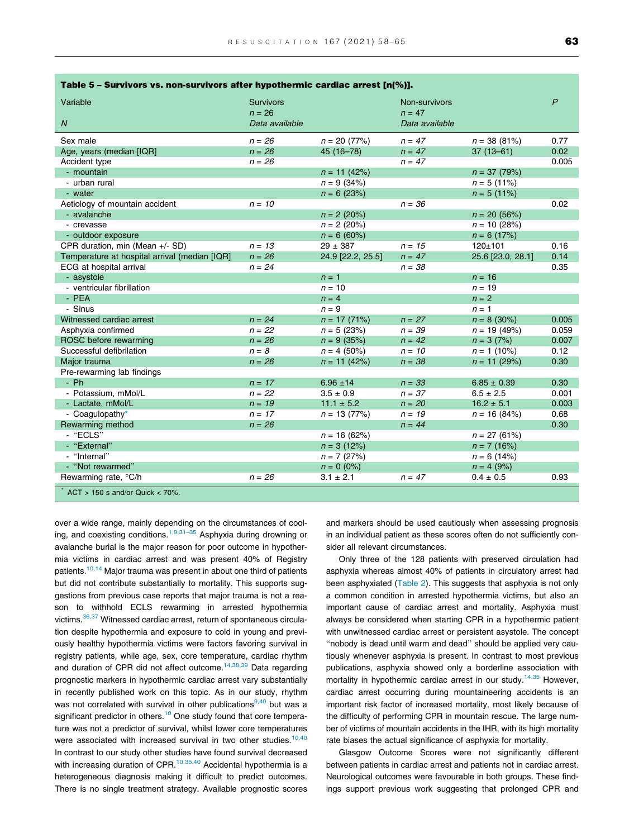| Variable<br>$\overline{N}$                    | <b>Survivors</b><br>$n = 26$<br>Data available |                   | Non-survivors<br>$n = 47$<br>Data available |                   | $\overline{P}$ |
|-----------------------------------------------|------------------------------------------------|-------------------|---------------------------------------------|-------------------|----------------|
| Sex male                                      | $n = 26$                                       | $n = 20 (77%)$    | $n = 47$                                    | $n = 38(81%)$     | 0.77           |
| Age, years (median [IQR]                      | $n = 26$                                       | 45 (16-78)        | $n = 47$                                    | $37(13 - 61)$     | 0.02           |
| Accident type                                 | $n = 26$                                       |                   | $n = 47$                                    |                   | 0.005          |
| - mountain                                    |                                                | $n = 11 (42%)$    |                                             | $n = 37 (79%)$    |                |
| - urban rural                                 |                                                | $n = 9(34%)$      |                                             | $n = 5(11\%)$     |                |
| - water                                       |                                                | $n = 6(23%)$      |                                             | $n = 5(11\%)$     |                |
| Aetiology of mountain accident                | $n = 10$                                       |                   | $n = 36$                                    |                   | 0.02           |
| - avalanche                                   |                                                | $n = 2 (20\%)$    |                                             | $n = 20 (56%)$    |                |
| - crevasse                                    |                                                | $n = 2 (20\%)$    |                                             | $n = 10 (28%)$    |                |
| - outdoor exposure                            |                                                | $n = 6(60\%)$     |                                             | $n = 6(17%)$      |                |
| CPR duration, min (Mean +/- SD)               | $n = 13$                                       | $29 \pm 387$      | $n = 15$                                    | $120 + 101$       | 0.16           |
| Temperature at hospital arrival (median [IQR] | $n = 26$                                       | 24.9 [22.2, 25.5] | $n = 47$                                    | 25.6 [23.0, 28.1] | 0.14           |
| ECG at hospital arrival                       | $n = 24$                                       |                   | $n = 38$                                    |                   | 0.35           |
| - asystole                                    |                                                | $n = 1$           |                                             | $n = 16$          |                |
| - ventricular fibrillation                    |                                                | $n = 10$          |                                             | $n = 19$          |                |
| - PEA                                         |                                                | $n = 4$           |                                             | $n = 2$           |                |
| - Sinus                                       |                                                | $n = 9$           |                                             | $n = 1$           |                |
| Witnessed cardiac arrest                      | $n = 24$                                       | $n = 17(71%)$     | $n = 27$                                    | $n = 8$ (30%)     | 0.005          |
| Asphyxia confirmed                            | $n = 22$                                       | $n = 5 (23%)$     | $n = 39$                                    | $n = 19(49%)$     | 0.059          |
| ROSC before rewarming                         | $n = 26$                                       | $n = 9(35%)$      | $n = 42$                                    | $n = 3(7%)$       | 0.007          |
| Successful defibrilation                      | $n = 8$                                        | $n = 4$ (50%)     | $n = 10$                                    | $n = 1$ (10%)     | 0.12           |
| Major trauma                                  | $n = 26$                                       | $n = 11 (42%)$    | $n = 38$                                    | $n = 11 (29%)$    | 0.30           |
| Pre-rewarming lab findings                    |                                                |                   |                                             |                   |                |
| $- Ph$                                        | $n = 17$                                       | $6.96 \pm 14$     | $n = 33$                                    | $6.85 \pm 0.39$   | 0.30           |
| - Potassium, mMol/L                           | $n = 22$                                       | $3.5 \pm 0.9$     | $n = 37$                                    | $6.5 \pm 2.5$     | 0.001          |
| - Lactate, mMol/L                             | $n = 19$                                       | $11.1 \pm 5.2$    | $n = 20$                                    | $16.2 \pm 5.1$    | 0.003          |
| - Coaquiopathy*                               | $n = 17$                                       | $n = 13 (77%)$    | $n = 19$                                    | $n = 16 (84%)$    | 0.68           |
| Rewarming method                              | $n = 26$                                       |                   | $n = 44$                                    |                   | 0.30           |
| - "ECLS"                                      |                                                | $n = 16(62%)$     |                                             | $n = 27(61%)$     |                |
| - "External"                                  |                                                | $n = 3(12%)$      |                                             | $n = 7(16%)$      |                |
| - "Internal"                                  |                                                | $n = 7 (27%)$     |                                             | $n = 6(14%)$      |                |
| - "Not rewarmed"                              |                                                | $n = 0 (0\%)$     |                                             | $n = 4 (9%)$      |                |
| Rewarming rate, °C/h                          | $n = 26$                                       | $3.1 \pm 2.1$     | $n = 47$                                    | $0.4 \pm 0.5$     | 0.93           |
| $ACT > 150$ s and/or Quick < 70%.             |                                                |                   |                                             |                   |                |

<span id="page-5-0"></span>

| Table 5 - Survivors vs. non-survivors after hypothermic cardiac arrest [n(%)]. |  |  |  |  |
|--------------------------------------------------------------------------------|--|--|--|--|
|--------------------------------------------------------------------------------|--|--|--|--|

over a wide range, mainly depending on the circumstances of cool-ing, and coexisting conditions.<sup>[1,9,31–35](#page-6-0)</sup> Asphyxia during drowning or avalanche burial is the major reason for poor outcome in hypothermia victims in cardiac arrest and was present 40% of Registry patients.<sup>[10,14](#page-7-0)</sup> Major trauma was present in about one third of patients but did not contribute substantially to mortality. This supports suggestions from previous case reports that major trauma is not a reason to withhold ECLS rewarming in arrested hypothermia victims.<sup>36,37</sup> Witnessed cardiac arrest, return of spontaneous circulation despite hypothermia and exposure to cold in young and previously healthy hypothermia victims were factors favoring survival in registry patients, while age, sex, core temperature, cardiac rhythm and duration of CPR did not affect outcome.<sup>[14,38,39](#page-7-0)</sup> Data regarding prognostic markers in hypothermic cardiac arrest vary substantially in recently published work on this topic. As in our study, rhythm was not correlated with survival in other publications<sup>[9,40](#page-7-0)</sup> but was a significant predictor in others.<sup>[10](#page-7-0)</sup> One study found that core temperature was not a predictor of survival, whilst lower core temperatures were associated with increased survival in two other studies.<sup>10,40</sup> In contrast to our study other studies have found survival decreased with increasing duration of CPR. $10,35,40$  Accidental hypothermia is a heterogeneous diagnosis making it difficult to predict outcomes. There is no single treatment strategy. Available prognostic scores

and markers should be used cautiously when assessing prognosis in an individual patient as these scores often do not sufficiently consider all relevant circumstances.

Only three of the 128 patients with preserved circulation had asphyxia whereas almost 40% of patients in circulatory arrest had been asphyxiated [\(Table 2](#page-2-0)). This suggests that asphyxia is not only a common condition in arrested hypothermia victims, but also an important cause of cardiac arrest and mortality. Asphyxia must always be considered when starting CPR in a hypothermic patient with unwitnessed cardiac arrest or persistent asystole. The concept "nobody is dead until warm and dead" should be applied very cautiously whenever asphyxia is present. In contrast to most previous publications, asphyxia showed only a borderline association with mortality in hypothermic cardiac arrest in our study.<sup>14,35</sup> However, cardiac arrest occurring during mountaineering accidents is an important risk factor of increased mortality, most likely because of the difficulty of performing CPR in mountain rescue. The large number of victims of mountain accidents in the IHR, with its high mortality rate biases the actual significance of asphyxia for mortality.

Glasgow Outcome Scores were not significantly different between patients in cardiac arrest and patients not in cardiac arrest. Neurological outcomes were favourable in both groups. These findings support previous work suggesting that prolonged CPR and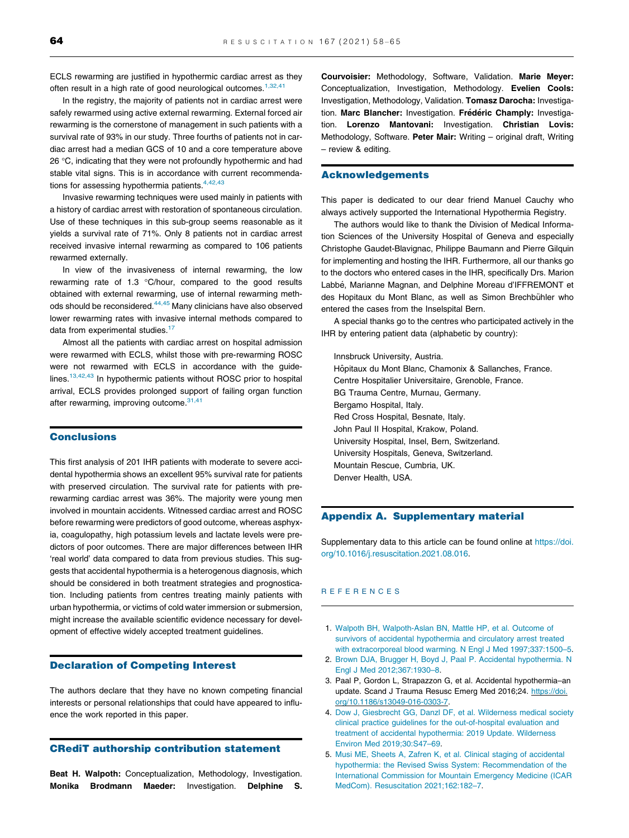<span id="page-6-0"></span>ECLS rewarming are justified in hypothermic cardiac arrest as they often result in a high rate of good neurological outcomes.<sup>1,32,41</sup>

In the registry, the majority of patients not in cardiac arrest were safely rewarmed using active external rewarming. External forced air rewarming is the cornerstone of management in such patients with a survival rate of 93% in our study. Three fourths of patients not in cardiac arrest had a median GCS of 10 and a core temperature above  $26 °C$ , indicating that they were not profoundly hypothermic and had stable vital signs. This is in accordance with current recommendations for assessing hypothermia patients.  $4,42,43$ 

Invasive rewarming techniques were used mainly in patients with a history of cardiac arrest with restoration of spontaneous circulation. Use of these techniques in this sub-group seems reasonable as it yields a survival rate of 71%. Only 8 patients not in cardiac arrest received invasive internal rewarming as compared to 106 patients rewarmed externally.

In view of the invasiveness of internal rewarming, the low rewarming rate of 1.3  $^{\circ}$ C/hour, compared to the good results obtained with external rewarming, use of internal rewarming meth-ods should be reconsidered.<sup>[44,45](#page-7-0)</sup> Many clinicians have also observed lower rewarming rates with invasive internal methods compared to data from experimental studies.<sup>17</sup>

Almost all the patients with cardiac arrest on hospital admission were rewarmed with ECLS, whilst those with pre-rewarming ROSC were not rewarmed with ECLS in accordance with the guidelines. $13,42,43$  In hypothermic patients without ROSC prior to hospital arrival, ECLS provides prolonged support of failing organ function after rewarming, improving outcome. $31,41$ 

#### **Conclusions**

This first analysis of 201 IHR patients with moderate to severe accidental hypothermia shows an excellent 95% survival rate for patients with preserved circulation. The survival rate for patients with prerewarming cardiac arrest was 36%. The majority were young men involved in mountain accidents. Witnessed cardiac arrest and ROSC before rewarming were predictors of good outcome, whereas asphyxia, coagulopathy, high potassium levels and lactate levels were predictors of poor outcomes. There are major differences between IHR 'real world' data compared to data from previous studies. This suggests that accidental hypothermia is a heterogenous diagnosis, which should be considered in both treatment strategies and prognostication. Including patients from centres treating mainly patients with urban hypothermia, or victims of cold water immersion or submersion, might increase the available scientific evidence necessary for development of effective widely accepted treatment guidelines.

#### Declaration of Competing Interest

The authors declare that they have no known competing financial interests or personal relationships that could have appeared to influence the work reported in this paper.

#### CRediT authorship contribution statement

Beat H. Walpoth: Conceptualization, Methodology, Investigation. Monika Brodmann Maeder: Investigation. Delphine S. Courvoisier: Methodology, Software, Validation. Marie Meyer: Conceptualization, Investigation, Methodology. Evelien Cools: Investigation, Methodology, Validation. Tomasz Darocha: Investigation. Marc Blancher: Investigation. Frédéric Champly: Investigation. Lorenzo Mantovani: Investigation. Christian Lovis: Methodology, Software. Peter Mair: Writing – original draft, Writing – review & editing.

#### Acknowledgements

This paper is dedicated to our dear friend Manuel Cauchy who always actively supported the International Hypothermia Registry.

The authors would like to thank the Division of Medical Information Sciences of the University Hospital of Geneva and especially Christophe Gaudet-Blavignac, Philippe Baumann and Pierre Gilquin for implementing and hosting the IHR. Furthermore, all our thanks go to the doctors who entered cases in the IHR, specifically Drs. Marion Labbé, Marianne Magnan, and Delphine Moreau d'IFFREMONT et des Hopitaux du Mont Blanc, as well as Simon Brechbühler who entered the cases from the Inselspital Bern.

A special thanks go to the centres who participated actively in the IHR by entering patient data (alphabetic by country):

Innsbruck University, Austria. Hôpitaux du Mont Blanc, Chamonix & Sallanches, France. Centre Hospitalier Universitaire, Grenoble, France. BG Trauma Centre, Murnau, Germany. Bergamo Hospital, Italy. Red Cross Hospital, Besnate, Italy. John Paul II Hospital, Krakow, Poland. University Hospital, Insel, Bern, Switzerland. University Hospitals, Geneva, Switzerland. Mountain Rescue, Cumbria, UK. Denver Health, USA.

#### Appendix A. Supplementary material

Supplementary data to this article can be found online at [https://doi.](https://doi.org/10.1016/j.resuscitation.2021.08.016) [org/10.1016/j.resuscitation.2021.08.016](https://doi.org/10.1016/j.resuscitation.2021.08.016).

#### REFERENCES

- 1. [Walpoth BH, Walpoth-Aslan BN, Mattle HP, et al. Outcome of](http://refhub.elsevier.com/S0300-9572(21)00315-4/h0005) [survivors of accidental hypothermia and circulatory arrest treated](http://refhub.elsevier.com/S0300-9572(21)00315-4/h0005) [with extracorporeal blood warming. N Engl J Med 1997;337:1500–5](http://refhub.elsevier.com/S0300-9572(21)00315-4/h0005).
- 2. [Brown DJA, Brugger H, Boyd J, Paal P. Accidental hypothermia. N](http://refhub.elsevier.com/S0300-9572(21)00315-4/h0010) [Engl J Med 2012;367:1930–8](http://refhub.elsevier.com/S0300-9572(21)00315-4/h0010).
- 3. Paal P, Gordon L, Strapazzon G, et al. Accidental hypothermia–an update. Scand J Trauma Resusc Emerg Med 2016;24. [https://doi.](https://doi.org/10.1186/s13049-016-0303-7) [org/10.1186/s13049-016-0303-7](https://doi.org/10.1186/s13049-016-0303-7).
- 4. [Dow J, Giesbrecht GG, Danzl DF, et al. Wilderness medical society](http://refhub.elsevier.com/S0300-9572(21)00315-4/h0020) [clinical practice guidelines for the out-of-hospital evaluation and](http://refhub.elsevier.com/S0300-9572(21)00315-4/h0020) [treatment of accidental hypothermia: 2019 Update. Wilderness](http://refhub.elsevier.com/S0300-9572(21)00315-4/h0020) [Environ Med 2019;30:S47–69](http://refhub.elsevier.com/S0300-9572(21)00315-4/h0020).
- 5. [Musi ME, Sheets A, Zafren K, et al. Clinical staging of accidental](http://refhub.elsevier.com/S0300-9572(21)00315-4/h0025) [hypothermia: the Revised Swiss System: Recommendation of the](http://refhub.elsevier.com/S0300-9572(21)00315-4/h0025) [International Commission for Mountain Emergency Medicine \(ICAR](http://refhub.elsevier.com/S0300-9572(21)00315-4/h0025) [MedCom\). Resuscitation 2021;162:182–7.](http://refhub.elsevier.com/S0300-9572(21)00315-4/h0025)